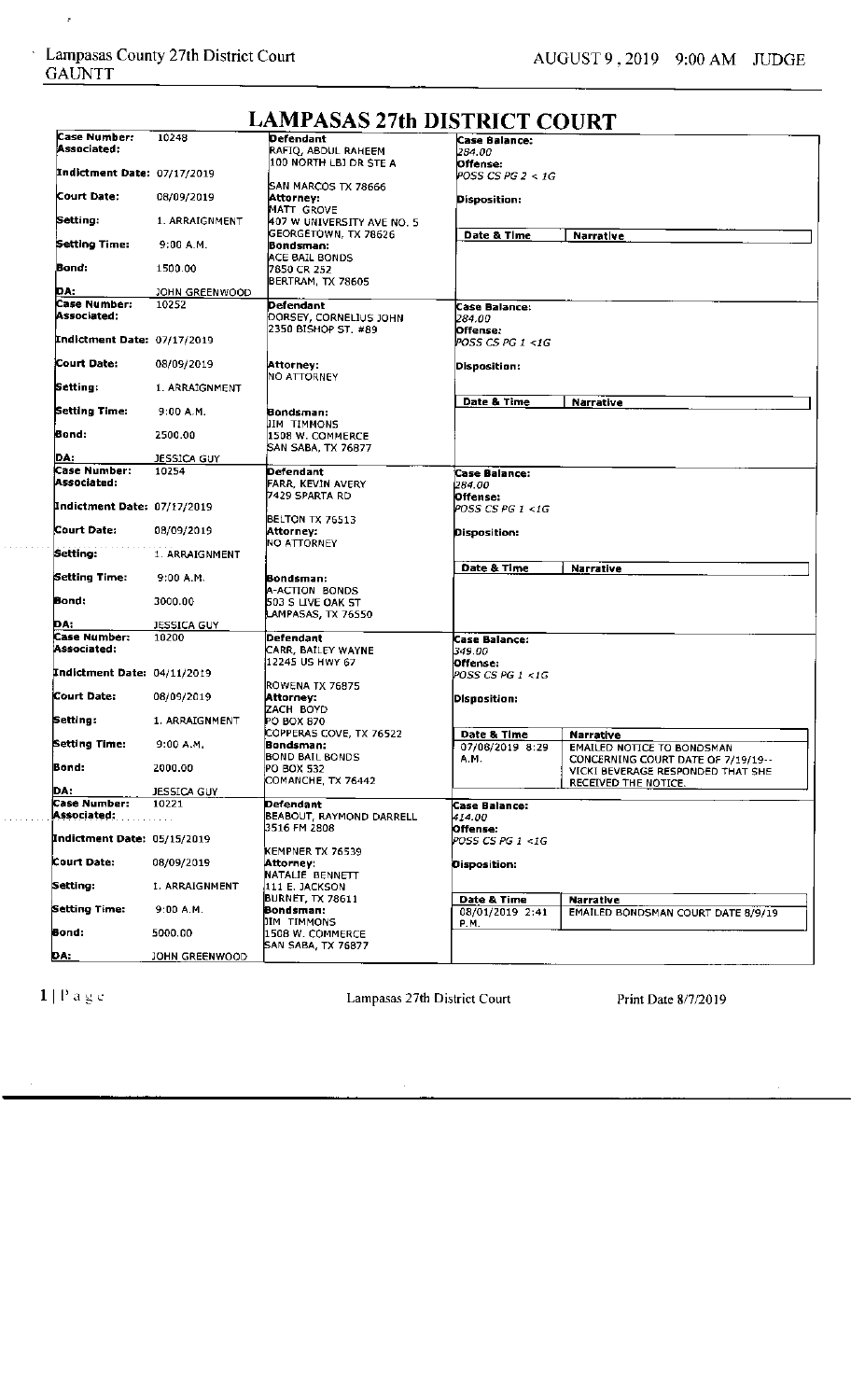l,

| Case Number:                       | 10248              | Defendant                     | Case Balance:                                  |                                    |
|------------------------------------|--------------------|-------------------------------|------------------------------------------------|------------------------------------|
| Associated:                        |                    | RAFIQ, ABDUL RAHEEM           | 284.00                                         |                                    |
|                                    |                    | <b>100 NORTH LBJ DR STE A</b> | Offense:                                       |                                    |
| <b>Indictment Date: 07/17/2019</b> |                    |                               | POSS CS PG 2 < 1G                              |                                    |
|                                    |                    | SAN MARCOS TX 78666           |                                                |                                    |
| Court Date:                        |                    |                               |                                                |                                    |
|                                    | 08/09/2019         | Attorney:                     | Disposition:                                   |                                    |
|                                    |                    | MATT GROVE                    |                                                |                                    |
| Setting:                           | 1. ARRAIGNMENT     | 407 W UNIVERSITY AVE NO. 5    |                                                |                                    |
|                                    |                    | GEORGETOWN, TX 78626          | Date & Time                                    | Narrative                          |
| Setting Time:                      | 9:00 A.M.          | Bondsman:                     |                                                |                                    |
|                                    |                    | ACE BAIL BONDS                |                                                |                                    |
| Bond:                              |                    |                               |                                                |                                    |
|                                    | 1500.00            | 7850 CR 252                   |                                                |                                    |
|                                    |                    | BERTRAM, TX 78605             |                                                |                                    |
| DA:                                | JOHN GREENWOOD     |                               |                                                |                                    |
| Case Number:                       | 10252              | Defendant                     | Case Balance:                                  |                                    |
| Associated:                        |                    | DORSEY, CORNELIUS JOHN        | 284.00                                         |                                    |
|                                    |                    |                               |                                                |                                    |
|                                    |                    | 2350 BISHOP ST. #89           | Offense:                                       |                                    |
| <b>Indictment Date: 07/17/2019</b> |                    |                               | POSS CS PG 1 <1G                               |                                    |
|                                    |                    |                               |                                                |                                    |
| Court Date:                        | 08/09/2019         | Attorney:                     | Disposition:                                   |                                    |
|                                    |                    | INO ATTORNEY                  |                                                |                                    |
| Setting:                           | 1. ARRAIGNMENT     |                               |                                                |                                    |
|                                    |                    |                               |                                                |                                    |
|                                    |                    |                               | Date & Time                                    | Narrative                          |
| Setting Time:                      | 9:00 A.M.          | Bondsman:                     |                                                |                                    |
|                                    |                    | IIM TIMMONS                   |                                                |                                    |
| Bond:                              | 2500.00            | 1508 W. COMMERCE              |                                                |                                    |
|                                    |                    | SAN SABA, TX 76877            |                                                |                                    |
| DA:                                | JESSICA GUY        |                               |                                                |                                    |
|                                    |                    |                               |                                                |                                    |
| Case Number:                       | 10254              | Defendant                     | <b>Case Balance:</b>                           |                                    |
| Associated:                        |                    | FARR, KEVIN AVERY             | 1284.00.                                       |                                    |
|                                    |                    | 7429 SPARTA RD                | Offense:                                       |                                    |
| Indictment Date: 07/17/2019        |                    |                               | POSS CS PG 1 <1G                               |                                    |
|                                    |                    | BELTON TX 76513               |                                                |                                    |
| Court Date:                        |                    |                               |                                                |                                    |
|                                    | 08/09/2019         | Attorney:                     | Disposition:                                   |                                    |
|                                    |                    | NO ATTORNEY                   |                                                |                                    |
| Setting:                           | 1. ARRAIGNMENT     |                               |                                                |                                    |
|                                    |                    |                               | Date & Time                                    | <b>Narrative</b>                   |
| Setting Time:                      | 9:00 A.M.          | Bondsman:                     |                                                |                                    |
|                                    |                    |                               |                                                |                                    |
|                                    |                    | A-ACTION BONDS                |                                                |                                    |
| Bond:                              | 3000.00            | 503 S LIVE OAK ST             |                                                |                                    |
|                                    |                    | LAMPASAS, TX 76550            |                                                |                                    |
| DA:                                | JESSICA GUY        |                               |                                                |                                    |
| Case Number:                       | 10200              | Defendant                     | <b>Case Balance:</b>                           |                                    |
| Associated:                        |                    | CARR, BAILEY WAYNE            | 349.00                                         |                                    |
|                                    |                    | 12245 US HWY 67               |                                                |                                    |
|                                    |                    |                               | Offense:                                       |                                    |
| Indictment Date: 04/11/2019        |                    |                               | POSS CS PG 1 <1G                               |                                    |
|                                    |                    | ROWENA TX 76875               |                                                |                                    |
| Court Date:                        | 08/09/2019         | Attorney:                     | Disposition:                                   |                                    |
|                                    |                    | <b>ZACH BOYD</b>              |                                                |                                    |
| Setting:                           | 1. ARRAIGNMENT     | PO BOX 870                    |                                                |                                    |
|                                    |                    | COPPERAS COVE, TX 76522       |                                                |                                    |
| Setting Time:                      |                    |                               | Date & Time                                    | Narrative                          |
|                                    | 9:00 A.M.          | Bondsman:                     | 07/08/2019 8:29                                | EMAILED NOTICE TO BONDSMAN         |
|                                    |                    | <b>BOND BAIL BONDS</b>        | A.M.                                           | CONCERNING COURT DATE OF 7/19/19-- |
| Bond:                              | 2000.00            | PO BOX 532                    |                                                | VICKI BEVERAGE RESPONDED THAT SHE  |
|                                    |                    | COMANCHE, TX 76442            |                                                | RECEIVED THE NOTICE.               |
| DA:                                | <b>JESSICA GUY</b> |                               |                                                |                                    |
| Case Number:                       | 10221              | Defendant                     |                                                |                                    |
| Associated:                        |                    |                               | Case Balance:                                  |                                    |
|                                    |                    | BEABOUT, RAYMOND DARRELL      | 414.00                                         |                                    |
|                                    |                    | 3516 FM 2808                  | Offense:                                       |                                    |
| Indictment Date:  05/15/2019       |                    |                               | $\textit{POSS CS PG 1} \textit{<} 1\textit{G}$ |                                    |
|                                    |                    | KEMPNER TX 76539              |                                                |                                    |
| Court Date:                        | 08/09/2019         | Attorney:                     | <b>Disposition:</b>                            |                                    |
|                                    |                    | NATALIE BENNETT               |                                                |                                    |
| Setting:                           |                    |                               |                                                |                                    |
|                                    | 1. ARRAIGNMENT     | 111 E. JACKSON                |                                                |                                    |
|                                    |                    | <b>BURNET, TX 78611</b>       | Date & Time                                    | <b>Narrative</b>                   |
| Setting Time:                      | 9:00 A.M.          | Bondsman:                     | 08/01/2019 2:41                                | EMAILED BONDSMAN COURT DATE 8/9/19 |
|                                    |                    | DIM TIMMONS                   | P.M.                                           |                                    |
| Bond:                              | 5000.00            | 1508 W. COMMERCE              |                                                |                                    |
|                                    |                    | SAN SABA, TX 76877            |                                                |                                    |
|                                    |                    |                               |                                                |                                    |
| DA:                                | JOHN GREENWOOD     |                               |                                                |                                    |
|                                    |                    |                               |                                                |                                    |

### **LAMPASAS 27th DISTRICT COURT**

 $1 \mid P$ a g e

. . . . . . . . .

. . . . . . . . .

Lampasas 27th District Court Print Date 8/7/2019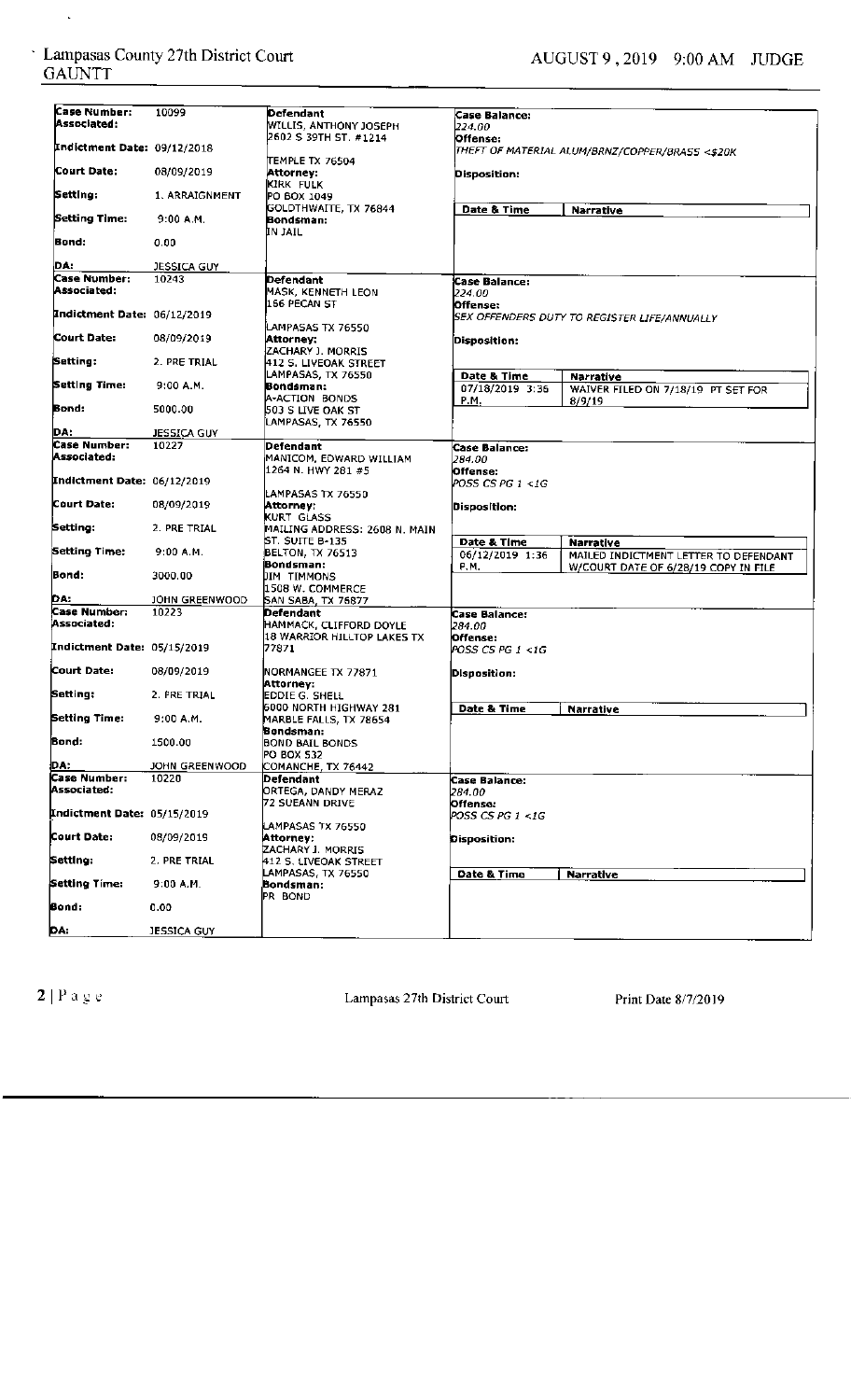$\ddot{\phantom{0}}$ 

| Case Number:                | 10099              | Defendant                     | Case Balance:        |                                                 |
|-----------------------------|--------------------|-------------------------------|----------------------|-------------------------------------------------|
| Associated:                 |                    | <b>WILLIS, ANTHONY JOSEPH</b> |                      |                                                 |
|                             |                    |                               | 224.00.              |                                                 |
|                             |                    | 2602 S 39TH ST. #1214         | Offense:             |                                                 |
| Indictment Date: 09/12/2018 |                    |                               |                      | THEFT OF MATERIAL ALUM/BRNZ/COPPER/BRASS <\$20K |
|                             |                    | ITEMPLE TX 76504              |                      |                                                 |
| Court Date:                 | 08/09/2019         | Attorney:                     | Disposition:         |                                                 |
|                             |                    | KIRK FULK                     |                      |                                                 |
| Setting:                    | 1. ARRAIGNMENT     |                               |                      |                                                 |
|                             |                    | PO BOX 1049                   |                      |                                                 |
|                             |                    | GOLDTHWAITE, TX 76844         | Date & Time          | <b>Narrative</b>                                |
| Setting Time:               | 9:00 A.M.          | Bondsman:                     |                      |                                                 |
|                             |                    | IN JAIL                       |                      |                                                 |
| Bond:                       | 0.00               |                               |                      |                                                 |
|                             |                    |                               |                      |                                                 |
| DA.                         |                    |                               |                      |                                                 |
|                             | JESSICA GUY        |                               |                      |                                                 |
| <b>Case Number:</b>         | 10243              | Defendant                     | <b>Case Balance:</b> |                                                 |
| Associated:                 |                    | MASK, KENNETH LEON            | 224.00.              |                                                 |
|                             |                    | 166 PECAN ST                  | Offense:             |                                                 |
| Indictment Date: 06/12/2019 |                    |                               |                      | SEX OFFENDERS DUTY TO REGISTER LIFE/ANNUALLY    |
|                             |                    | LAMPASAS TX 76550             |                      |                                                 |
| Court Date:                 |                    |                               |                      |                                                 |
|                             | 08/09/2019         | Attorney:                     | Disposition:         |                                                 |
|                             |                    | ZACHARY J. MORRIS             |                      |                                                 |
| Setting:                    | 2. PRE TRIAL       | 412 S. LIVEOAK STREET         |                      |                                                 |
|                             |                    | ILAMPASAS, TX 76550           | Date & Time          | <b>Narrative</b>                                |
| Setting Time:               | 9:00 A.M.          | Bondsman:                     | 07/18/2019 3:36      |                                                 |
|                             |                    | A-ACTION BONDS                |                      | WAIVER FILED ON 7/18/19 PT SET FOR              |
| Bond:                       |                    |                               | P.M.                 | 8/9/19                                          |
|                             | 5000.00            | 1503 S LIVE OAK ST            |                      |                                                 |
|                             |                    | LAMPASAS, TX 76550            |                      |                                                 |
| DA:                         | <b>JESSICA GUY</b> |                               |                      |                                                 |
| Case Number:                | 10227              | Defendant                     | Case Balance:        |                                                 |
| Associated:                 |                    | MANICOM, EDWARD WILLIAM       | 284.00               |                                                 |
|                             |                    | 1264 N. HWY 281 #5            |                      |                                                 |
|                             |                    |                               | Offense:             |                                                 |
| Indictment Date: 06/12/2019 |                    |                               | POSS CS PG 1 <1G     |                                                 |
|                             |                    | LAMPASAS TX 76550             |                      |                                                 |
| Court Date:                 | 08/09/2019         | Attorney:                     | Disposition:         |                                                 |
|                             |                    | KURT GLASS                    |                      |                                                 |
| Setting:                    | 2. PRE TRIAL       | MAILING ADDRESS: 2608 N. MAIN |                      |                                                 |
|                             |                    | ST. SUITE B-135               |                      |                                                 |
|                             |                    |                               | Date & Time          | Narrative                                       |
| Setting Time:               | 9:00A.M.           | BELTON, TX 76513              | 06/12/2019 1:36      | MAILED INDICTMENT LETTER TO DEFENDANT           |
|                             |                    | Bondsman:                     | P.M.                 | W/COURT DATE OF 6/28/19 COPY IN FILE            |
| Bond:                       | 3000.00            | JIM TIMMONS                   |                      |                                                 |
|                             |                    | 1508 W. COMMERCE              |                      |                                                 |
| DA.                         | JOHN GREENWOOD     | SAN SABA, TX 76877            |                      |                                                 |
| Case Number:                | 10223              | Defendant                     |                      |                                                 |
|                             |                    |                               | Case Balance:        |                                                 |
| Associated:                 |                    | HAMMACK, CLIFFORD DOYLE       | 284.00               |                                                 |
|                             |                    | 18 WARRIOR HILLTOP LAKES TX   | Offense:             |                                                 |
| Indictment Date: 05/15/2019 |                    | 77871                         | POSS CS PG 1 <1G     |                                                 |
|                             |                    |                               |                      |                                                 |
| Court Date:                 | 08/09/2019         | NORMANGEE TX 77871            | Disposition:         |                                                 |
|                             |                    | Attorney:                     |                      |                                                 |
| Setting:                    |                    |                               |                      |                                                 |
|                             | 2. PRE TRIAL       | IEDDIE G. SHELL               |                      |                                                 |
|                             |                    | 6000 NORTH HIGHWAY 281        | Date & Time          | <b>Narrative</b>                                |
| Setting Time:               | 9:00 A.M.          | MARBLE FALLS, TX 78654        |                      |                                                 |
|                             |                    | Bondsman:                     |                      |                                                 |
| Bond:                       | 1500.00            | <b>BOND BAIL BONDS</b>        |                      |                                                 |
|                             |                    | PO BOX 532                    |                      |                                                 |
| DA:                         |                    |                               |                      |                                                 |
|                             | JOHN GREENWOOD     | COMANCHE, TX 76442            |                      |                                                 |
| Case Number:                | 10220              | Defendant                     | Case Balance:        |                                                 |
| Associated:                 |                    | ORTEGA, DANDY MERAZ           | 284.00               |                                                 |
|                             |                    | 72 SUEANN DRIVE               | Offense:             |                                                 |
| Indictment Date: 05/15/2019 |                    |                               | POSS CS PG 1 <1G     |                                                 |
|                             |                    |                               |                      |                                                 |
| Court Date:                 |                    | LAMPASAS TX 76550             |                      |                                                 |
|                             | 08/09/2019         | Attorney:                     | Disposition:         |                                                 |
|                             |                    | ZACHARY 1. MORRIS             |                      |                                                 |
| Setting:                    | 2. PRE TRIAL       | 412 S. LIVEOAK STREET         |                      |                                                 |
|                             |                    | LAMPASAS, TX 76550            | Date & Time          | <b>Narrative</b>                                |
| Setting Time:               | 9:00 A.M.          | Bondsman:                     |                      |                                                 |
|                             |                    | PR BOND                       |                      |                                                 |
|                             |                    |                               |                      |                                                 |
| Bond:                       | 0.00               |                               |                      |                                                 |
|                             |                    |                               |                      |                                                 |
| <u>DA:</u>                  | JESSICA GUY        |                               |                      |                                                 |

2 | P a g e Court Lampasas 27th District Court Print Date 8/7/2019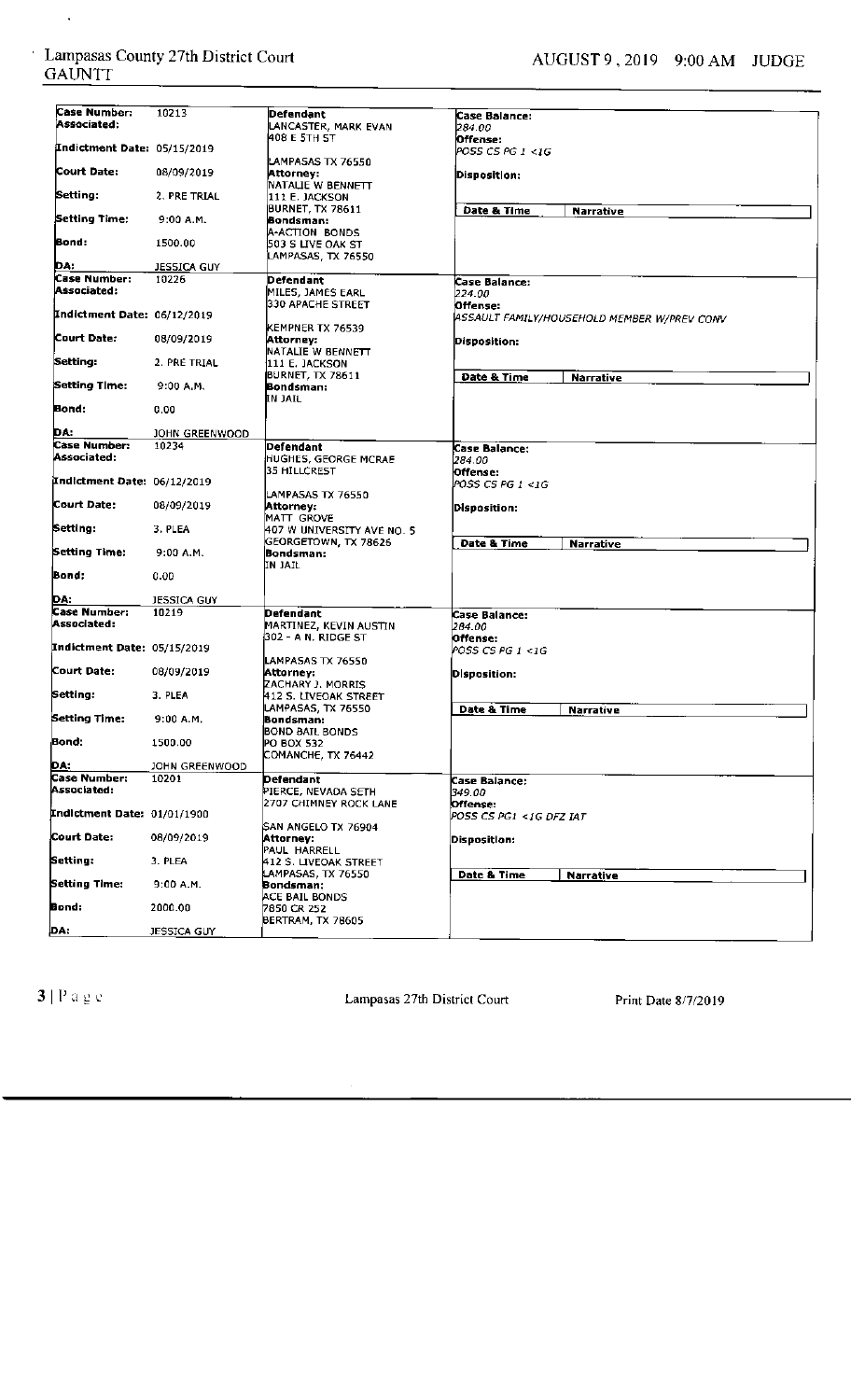$\hat{\mathcal{A}}$ 

| Case Number:                       | 10213              | Defendant                          | Case Balance:                               |  |
|------------------------------------|--------------------|------------------------------------|---------------------------------------------|--|
| Associated:                        |                    | LANCASTER, MARK EVAN               | 284.00                                      |  |
| <b>Indictment Date: 05/15/2019</b> |                    | 408 E 5TH <b>5T</b>                | Offense:<br>POSS CS PG 1 <1G                |  |
|                                    |                    | LAMPASAS TX 76550                  |                                             |  |
| Court Date:                        | 08/09/2019         | Attornev:                          | Disposition:                                |  |
|                                    |                    | NATALIE W BENNETT                  |                                             |  |
| Setting:                           | 2. PRE TRIAL       | 111 E. JACKSON                     |                                             |  |
| Setting Time:                      | 9:00 A.M.          | (BURNET, TX 78611                  | Date & Time<br><b>Narrative</b>             |  |
|                                    |                    | Bondsman:<br><b>A-ACTION BONDS</b> |                                             |  |
| Bond:                              | 1500.00            | 503 S LIVE OAK ST                  |                                             |  |
|                                    |                    | LAMPASAS, TX 76550                 |                                             |  |
| DA.                                | <b>JESSICA GUY</b> |                                    |                                             |  |
| <b>Case Number:</b>                | 10226              | Defendant                          | Case Balance:                               |  |
| Associated:                        |                    | MILES, JAMES EARL                  | 224.00                                      |  |
| Indictment Date: 06/12/2019        |                    | 330 APACHE STREET                  | Offense:                                    |  |
|                                    |                    | KEMPNER TX 76539                   | ASSAULT FAMILY/HOUSEHOLD MEMBER W/PREV CONV |  |
| Court Date:                        | 08/09/2019         | Attorney:                          | Disposition:                                |  |
|                                    |                    | NATALIE W BENNETT                  |                                             |  |
| Setting:                           | 2. PRE TRIAL       | 111 E. JACKSON                     |                                             |  |
|                                    |                    | <b>BURNET, TX 78611</b>            | Date & Time<br><b>Narrative</b>             |  |
| Setting Time:                      | 9:00 A.M.          | Bondsman:                          |                                             |  |
| Bond:                              | 0.00               | IN JAIL.                           |                                             |  |
|                                    |                    |                                    |                                             |  |
| DA:                                | JOHN GREENWOOD     |                                    |                                             |  |
| Case Number:                       | 10234              | Defendant                          | <b>Case Balance:</b>                        |  |
| Associated:                        |                    | <b>HUGHES, GEORGE MCRAE</b>        | 284.00                                      |  |
| Indictment Date: 06/12/2019        |                    | 35 HILLCREST                       | Offense:                                    |  |
|                                    |                    | LAMPASAS TX 76550                  | POSS CS PG 1 <1G                            |  |
| Court Date:                        | 08/09/2019         | Attorney:                          | Disposition:                                |  |
|                                    |                    | MATT GROVE                         |                                             |  |
| Setting:                           | 3. PLEA            | 407 W UNIVERSITY AVE NO. 5         |                                             |  |
|                                    |                    | GEORGETOWN, TX 78626               | Date & Time<br><b>Narrative</b>             |  |
| Setting Time:                      | 9:00A.M.           | Bondsman:                          |                                             |  |
| Bond:                              | 0.00               | IN JAIL                            |                                             |  |
|                                    |                    |                                    |                                             |  |
| DA:                                | JESSICA GUY        |                                    |                                             |  |
| Case Number:                       | 10219              | Defendant                          | Case Balance:                               |  |
| Associated:                        |                    | MARTINEZ, KEVIN AUSTIN             | 284.00                                      |  |
|                                    |                    | (302 - A N, RIDGE ST               | Offense:                                    |  |
| Indictment Date: 05/15/2019        |                    |                                    | POSS CS PG 1 <1G                            |  |
| Court Date:                        | 08/09/2019         | LAMPASAS TX 76550<br>Attorney:     | <b>Disposition:</b>                         |  |
|                                    |                    | <b>ZACHARY J. MORRIS</b>           |                                             |  |
| Setting:                           | 3. PLEA            | 412 S. LIVEOAK STREET              |                                             |  |
|                                    |                    | LAMPASAS, TX 76550                 | Date & Time<br>Narrative                    |  |
| Setting Time:                      | $9:00$ A.M.        | Bondsman:                          |                                             |  |
| Bond:                              | 1500.00            | <b>BOND BAIL BONDS</b>             |                                             |  |
|                                    |                    | PO BOX 532<br>COMANCHE, TX 76442   |                                             |  |
|                                    | JOHN GREENWOOD     |                                    |                                             |  |
| DA:<br>Case Number:                | 10201              | Defendant                          | Case Balance:                               |  |
| Associated:                        |                    | PIERCE, NEVADA SETH                | 349.00                                      |  |
|                                    |                    | 2707 CHIMNEY ROCK LANE             | Offense:                                    |  |
| Indictment Date: 01/01/1900        |                    |                                    | POSS CS PG1 <1G DFZ IAT                     |  |
| Court Date:                        | 08/09/2019         | SAN ANGELO TX 76904                |                                             |  |
|                                    |                    | Attorney:<br>PAUL HARRELL          | Disposition:                                |  |
| Setting:                           | 3. PLEA            | 412 S. LIVEOAK STREET              |                                             |  |
|                                    |                    | LAMPASAS, TX 76550                 | Date & Time<br>Narrative                    |  |
| Setting Time:                      | 9:00 A.M.          | Bondsman:                          |                                             |  |
|                                    |                    | ACE BAIL BONDS                     |                                             |  |
| Bond:                              | 2000.00            | 7850 CR 252                        |                                             |  |
| DA:                                | JESSICA GUY        | BERTRAM, TX 78605                  |                                             |  |

3 | P a g e <br> **13** | P a g e **13** | P a g e 13 | Lampasas 27th District Court Print Date 8/7/2019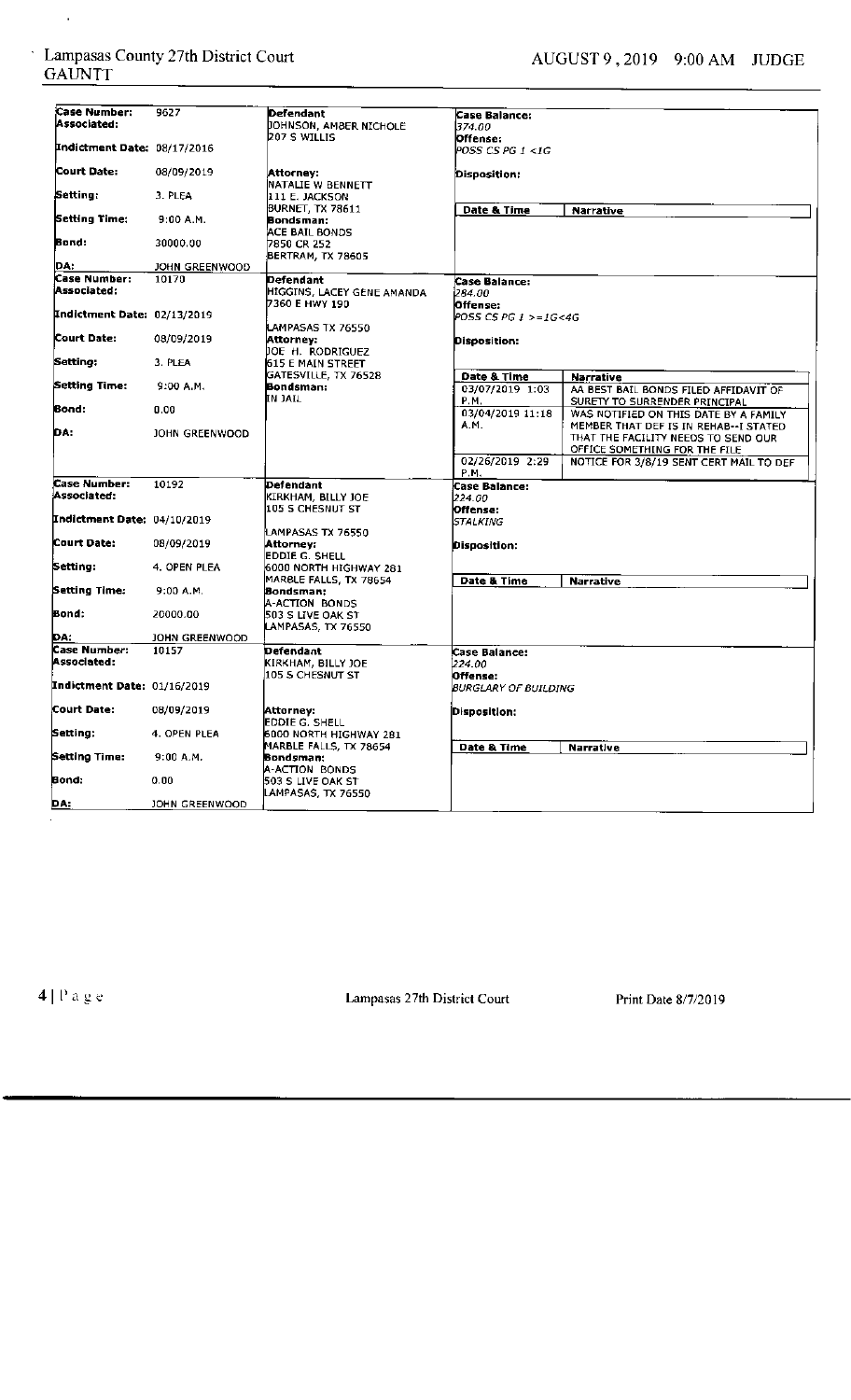$\hat{\mathcal{L}}$ 

| Case Number:                        | 9627                    | Defendant                                                 | Case Balance:                              |                                                                                |
|-------------------------------------|-------------------------|-----------------------------------------------------------|--------------------------------------------|--------------------------------------------------------------------------------|
| Associated:                         |                         | <b>DOHNSON, AMBER NICHOLE</b>                             | 374.00                                     |                                                                                |
| Indictment Date: 08/17/2016         |                         | 207 S WILLIS                                              | Offense:                                   |                                                                                |
|                                     |                         |                                                           | POSS CS PG 1 <1G                           |                                                                                |
| Court Date:                         | 08/09/2019              | Attorney:<br>NATALIE W BENNETT                            | Disposition:                               |                                                                                |
| Setting:                            | 3. PLEA                 | 111 E. JACKSON<br><b>BURNET, TX 78611</b>                 | Date & Time                                |                                                                                |
| Setting Time:                       | 9:00 A.M.               | Bondsman:<br>ACE BAIL BONDS                               |                                            | Narrative                                                                      |
| Bond:                               | 30000.00                | 7850 CR 252<br>BERTRAM, TX 78605                          |                                            |                                                                                |
| DA.                                 | JOHN GREENWOOD          |                                                           |                                            |                                                                                |
| <b>Case Number:</b><br>Associated:  | 10170                   | Defendant<br>HIGGINS, LACEY GENE AMANDA<br>7360 E HWY 190 | <b>Case Balance:</b><br>284.00<br>Offense: |                                                                                |
| Indictment Date:  02/13/2019        |                         | LAMPASAS TX 76550                                         | POSS CS PG 1 >=1G<4G                       |                                                                                |
| Court Date:                         | 08/09/2019              | Attorney:<br>JOE H. RODRIGUEZ                             | Disposition:                               |                                                                                |
| Setting:                            | 3. PLEA                 | 615 E MAIN STREET                                         |                                            |                                                                                |
| Setting Time:                       | 9:00 A.M.               | GATESVILLE, TX 76528<br>Bondsman:                         | Date & Time                                | <b>Narrative</b>                                                               |
|                                     |                         | IN JAIL                                                   | 03/07/2019 1:03<br>P.M.                    | AA BEST BAIL BONDS FILED AFFIDAVIT OF<br>SURETY TO SURRENDER PRINCIPAL         |
| Bond:                               | 0.00                    |                                                           | 03/04/2019 11:18<br>A.M.                   | WAS NOTIFIED ON THIS DATE BY A FAMILY<br>MEMBER THAT DEF IS IN REHAB--I STATED |
| DA:                                 | JOHN GREENWOOD          |                                                           |                                            | THAT THE FACILITY NEEDS TO SEND OUR<br>OFFICE SOMETHING FOR THE FILE           |
|                                     |                         |                                                           | 02/26/2019 2:29<br>P.M.                    | NOTICE FOR 3/8/19 SENT CERT MAIL TO DEF                                        |
| Case Number:<br>Associated:         | 10192                   | Defendant                                                 | <b>Case Balance:</b>                       |                                                                                |
|                                     |                         | KIRKHAM, BILLY JOE<br>105 S CHESNUT ST                    | 224.00<br>Offense:                         |                                                                                |
| Indictment Date: 04/10/2019         |                         |                                                           | <i><b>STALKING</b></i>                     |                                                                                |
|                                     |                         | LAMPASAS TX 76550                                         |                                            |                                                                                |
| Court Date:                         | 08/09/2019              | Attorney:                                                 | Disposition:                               |                                                                                |
|                                     |                         | EDDIE G. SHELL                                            |                                            |                                                                                |
| Setting:                            | 4. OPEN PLEA            | 6000 NORTH HIGHWAY 281<br>MARBLE FALLS, TX 78654          | Date & Time                                | <b>Narrative</b>                                                               |
| Setting Time:                       | 9:00 A.M.               | Bondsman:                                                 |                                            |                                                                                |
| Bond:                               | 20000.00                | A-ACTION BONDS<br>503 S LIVE OAK ST                       |                                            |                                                                                |
| DA:                                 |                         | LAMPASAS, TX 76550                                        |                                            |                                                                                |
| Case Number:                        | JOHN GREENWOOD<br>10157 | Defendant                                                 |                                            |                                                                                |
| Associated:                         |                         | KIRKHAM, BILLY JOE<br>105 S CHESNUT ST                    | Case Balance:<br>224.00                    |                                                                                |
| <b>Indictment Date: </b> 01/16/2019 |                         |                                                           | Offense:<br><b>BURGLARY OF BUILDING</b>    |                                                                                |
| Court Date:                         | 08/09/2019              | Attorney:<br>EDDIE G. SHELL                               | Disposition:                               |                                                                                |
| Setting:                            | 4. OPEN PLEA            | 6000 NORTH HIGHWAY 281                                    |                                            |                                                                                |
| Setting Time:                       | 9:00 A.M.               | MARBLE FALLS, TX 78654<br>Bondsman:                       | Date & Time                                | <b>Narrative</b>                                                               |
| Bond:                               | 0.00                    | A-ACTION BONDS<br>503 S LIVE OAK ST                       |                                            |                                                                                |
| DA:                                 |                         | LAMPASAS, TX 76550                                        |                                            |                                                                                |
|                                     | JOHN GREENWOOD          |                                                           |                                            |                                                                                |

 $4|P$  a g e

Lampasas 27th District Court

Print Date 8/7/2019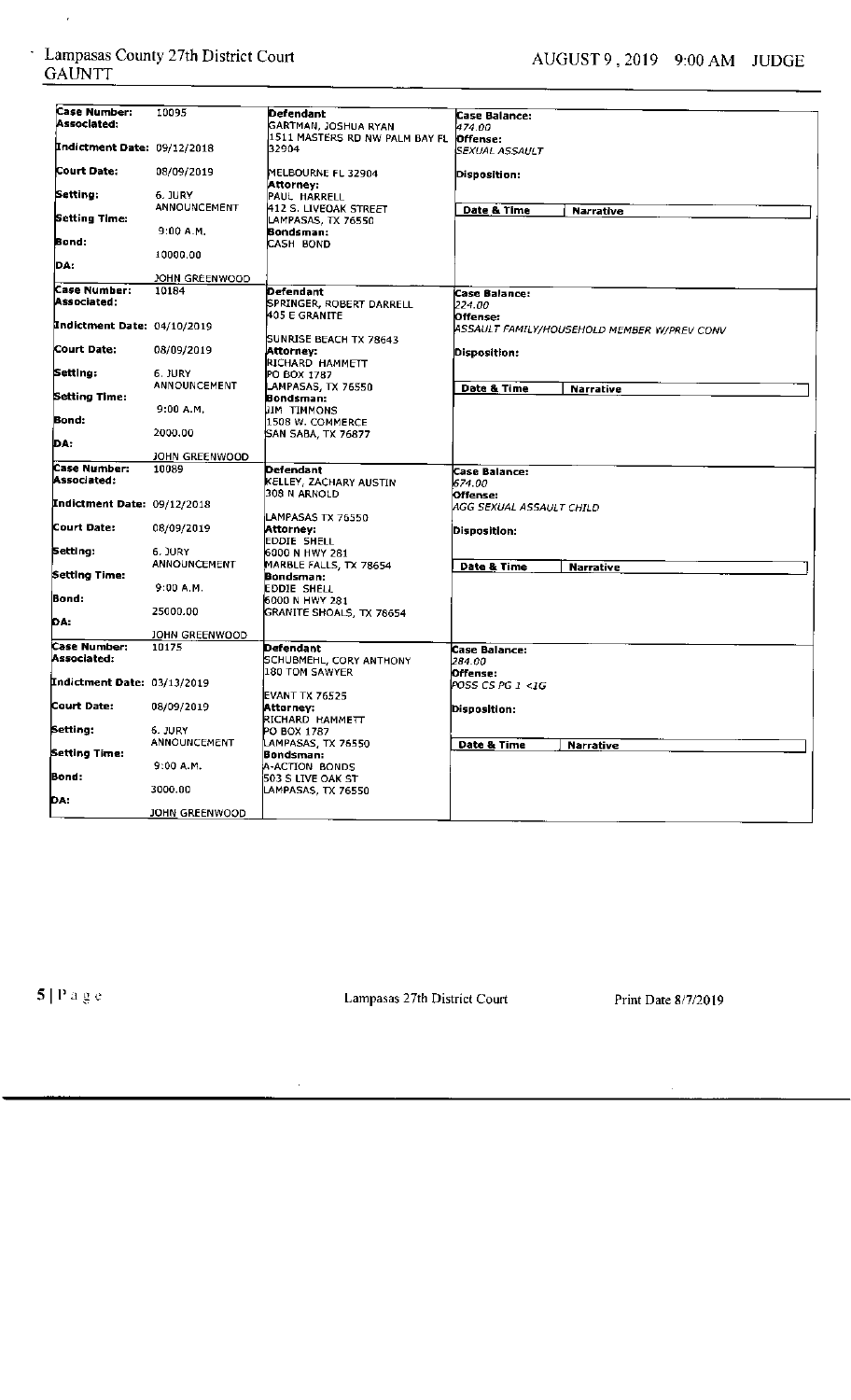$\epsilon$ 

| Case Number:<br>Associated:        | 10095                          | Defendant                                         | Case Balance:            |                                             |
|------------------------------------|--------------------------------|---------------------------------------------------|--------------------------|---------------------------------------------|
|                                    |                                | GARTMAN, JOSHUA RYAN                              | 474.00                   |                                             |
| <b>Indictment Date: 09/12/2018</b> |                                | 1511 MASTERS RD NW PALM BAY FL                    | Offense:                 |                                             |
|                                    |                                | 32904                                             | SEXUAL ASSAULT           |                                             |
| Court Date:                        | 08/09/2019                     | MELBOURNE FL 32904<br>Attorney:                   | Disposition:             |                                             |
| Setting:                           | 6. JURY                        | PAUL HARRELL                                      |                          |                                             |
|                                    | <b>ANNOUNCEMENT</b>            | 412 S. LIVEOAK STREET                             | Date & Time              | <b>Narrative</b>                            |
| Setting Time:                      |                                | LAMPASAS, TX 76550                                |                          |                                             |
|                                    | 9:00 A.M.                      | Bondsman:                                         |                          |                                             |
| Bond:                              |                                | CASH BOND                                         |                          |                                             |
| DA:                                | 10000.00                       |                                                   |                          |                                             |
|                                    |                                |                                                   |                          |                                             |
| Case Number:                       | JOHN GREENWOOD                 |                                                   |                          |                                             |
| Associated:                        | 10184                          | Defendant                                         | Case Balance:            |                                             |
|                                    |                                | SPRINGER, ROBERT DARRELL<br><b>1405 E GRANITE</b> | 224.00                   |                                             |
| Indictment Date: 04/10/2019        |                                |                                                   | Offense:                 |                                             |
|                                    |                                | <b>SUNRISE BEACH TX 78643</b>                     |                          | ASSAULT FAMILY/HOUSEHOLD MEMBER W/PREV CONV |
| Court Date:                        | 08/09/2019                     | Attorney:                                         | Disposition:             |                                             |
|                                    |                                | RICHARD HAMMETT                                   |                          |                                             |
| Setting:                           | 6. JURY                        | PO BOX 1787                                       |                          |                                             |
|                                    | <b>ANNOUNCEMENT</b>            | LAMPASAS, TX 76550                                | Date & Time              | <b>Narrative</b>                            |
| Setting Time:                      |                                | Bondsman;                                         |                          |                                             |
|                                    | 9:00 A.M.                      | JIM TIMMONS                                       |                          |                                             |
| Bond:                              |                                | 1508 W. COMMERCE                                  |                          |                                             |
| DA:                                | 2000.00                        | SAN SABA, TX 76877                                |                          |                                             |
|                                    | JOHN GREENWOOD                 |                                                   |                          |                                             |
| Case Number:                       | 10089                          | Defendant                                         |                          |                                             |
| Associated:                        |                                | KELLEY, ZACHARY AUSTIN                            | Case Balance:<br>674.00  |                                             |
|                                    |                                | 308 N ARNOLD                                      | Offense:                 |                                             |
| Indictment Date: 09/12/2018        |                                |                                                   | AGG SEXUAL ASSAULT CHILD |                                             |
|                                    |                                | LAMPASAS TX 76550                                 |                          |                                             |
| Court Date:                        | 08/09/2019                     | Attorney:                                         | Disposition:             |                                             |
|                                    |                                | EDDIE SHELL                                       |                          |                                             |
| Setting:                           | 6. JURY                        | 6000 N HWY 281                                    |                          |                                             |
|                                    | <b>ANNOUNCEMENT</b>            | MARBLE FALLS, TX 78654                            | Date & Time              | <b>Narrative</b>                            |
| Setting Time:                      | 9:00 A.M.                      | Bondsman:<br>EDDIE SHELL                          |                          |                                             |
| Bond:                              |                                | 16000 N HWY 281                                   |                          |                                             |
|                                    | 25000.00                       | GRANITE SHOALS, TX 78654                          |                          |                                             |
| DA:                                |                                |                                                   |                          |                                             |
|                                    | JOHN GREENWOOD                 |                                                   |                          |                                             |
| Case Number:                       | 10175                          | Defendant                                         | Case Balance:            |                                             |
| Associated:                        |                                | <b>SCHUBMEHL, CORY ANTHONY</b>                    | 284.00                   |                                             |
|                                    |                                | 180 TOM SAWYER                                    | Offense:                 |                                             |
| Indictment Date: 03/13/2019        |                                |                                                   | POSS CS PG 1 <1G         |                                             |
|                                    |                                | <b>EVANT TX 76525</b>                             |                          |                                             |
| Court Date:                        | 08/09/2019                     | Attorney:                                         | Disposition:             |                                             |
|                                    |                                | RICHARD HAMMETT                                   |                          |                                             |
| Setting:                           | 6. JURY<br><b>ANNOUNCEMENT</b> | PO BOX 1787                                       |                          |                                             |
| Setting Time:                      |                                | LAMPASAS, TX 76550                                | Date & Time              | <b>Narrative</b>                            |
|                                    | 9:00 A.M.                      | Bondsman:<br>A-ACTION BONDS                       |                          |                                             |
| <b>Bond:</b>                       |                                | 1503 S LIVE OAK ST                                |                          |                                             |
|                                    | 3000.00                        | LAMPASAS, TX 76550                                |                          |                                             |
| DA:                                |                                |                                                   |                          |                                             |
|                                    | JOHN GREENWOOD                 |                                                   |                          |                                             |

 $\bar{\textbf{5}}\,|\,\bar{\textbf{P}}\,\textbf{a}\,\textbf{g}\,\textbf{e}$ 

Lampasas 27th District Court

Print Date 8/7/2019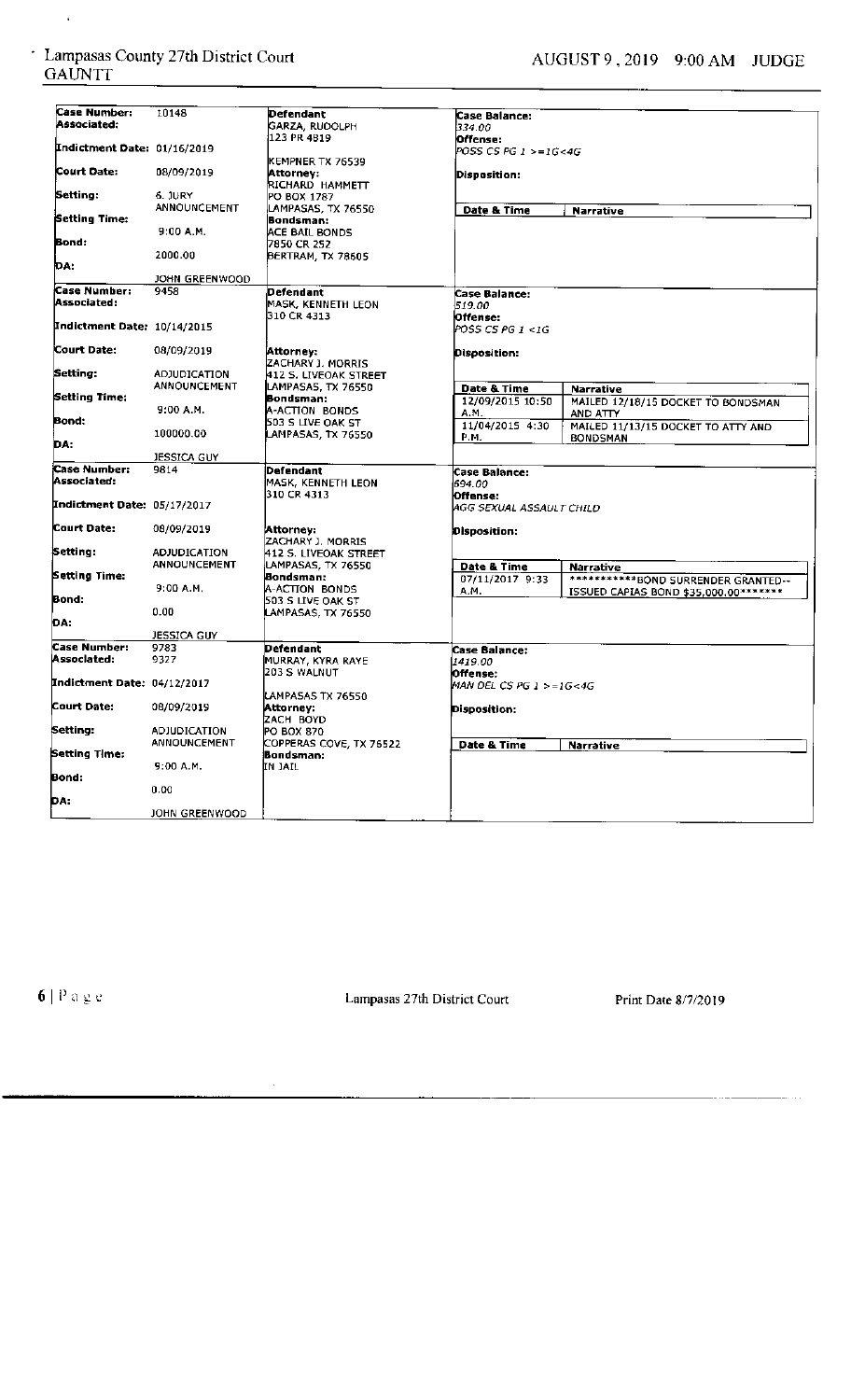$\hat{\mathcal{A}}$ 

| Case Number:                | 10148               |                                            |                               |                                       |
|-----------------------------|---------------------|--------------------------------------------|-------------------------------|---------------------------------------|
| Associated:                 |                     | Defendant<br>GARZA, RUDOLPH                | Case Balance:                 |                                       |
|                             |                     | 123 PR 4B19                                | 334.00                        |                                       |
| Indictment Date: 01/16/2019 |                     |                                            | Offense:                      |                                       |
|                             |                     | KEMPNER TX 76539                           | POSS CS PG 1 >=1G<4G          |                                       |
| Court Date:                 | 08/09/2019          | Attorney:<br>RICHARD HAMMETT               | Disposition:                  |                                       |
| Setting:                    | 6. JURY             | PO BOX 1787                                |                               |                                       |
|                             | <b>ANNOUNCEMENT</b> | LAMPASAS, TX 76550                         | Date & Time                   |                                       |
| Setting Time:               |                     | Bondsman:                                  |                               | <b>Narrative</b>                      |
|                             | 9:00 A.M.           | ACE BAIL BONDS                             |                               |                                       |
| Bond:                       |                     | 7850 CR 252                                |                               |                                       |
|                             | 2000.00             | BERTRAM, TX 78605                          |                               |                                       |
| DA:                         |                     |                                            |                               |                                       |
|                             | JOHN GREENWOOD      |                                            |                               |                                       |
| Case Number:                | 9458                | Defendant                                  | <b>Case Balance:</b>          |                                       |
| Associated:                 |                     | MASK, KENNETH LEON                         | 519.00                        |                                       |
|                             |                     | l310 CR 4313                               | Offense:                      |                                       |
| Indictment Date: 10/14/2015 |                     |                                            | POSS CS PG 1 <1G              |                                       |
|                             |                     |                                            |                               |                                       |
| Court Date:                 | 08/09/2019          | Attorney:                                  | Disposition:                  |                                       |
|                             |                     | ZACHARY J. MORRIS                          |                               |                                       |
| Setting:                    | <b>ADJUDICATION</b> | 412 S. LIVEOAK STREET                      |                               |                                       |
|                             | ANNOUNCEMENT        | LAMPASAS, TX 76550                         | Date & Time                   | Narrative                             |
| Setting Time:               |                     | Bondsman:                                  | 12/09/2015 10:50              | MAILED 12/18/15 DOCKET TO BONDSMAN    |
|                             | $9:00$ A.M.         | A-ACTION BONDS                             | A.M.                          | AND ATTY                              |
| Bond:                       |                     | 503 S LIVE OAK ST                          | 11/04/2015 4:30               | MAILED 11/13/15 DOCKET TO ATTY AND    |
| DA:                         | 100000.00           | LAMPASAS, TX 76550                         | P.M.                          | <b>BONDSMAN</b>                       |
|                             | JESSICA GUY         |                                            |                               |                                       |
|                             |                     |                                            |                               |                                       |
|                             |                     |                                            |                               |                                       |
| <b>Case Number:</b>         | 9814                | Defendant                                  | <b>Case Balance:</b>          |                                       |
| Associated:                 |                     | MASK, KENNETH LEON                         | 694.00                        |                                       |
|                             |                     | 310 CR 4313                                | lOffense:                     |                                       |
| Indictment Date: 05/17/2017 |                     |                                            | AGG SEXUAL ASSAULT CHILD      |                                       |
| Court Date:                 |                     |                                            |                               |                                       |
|                             | 08/09/2019          | Attorney:                                  | Disposition:                  |                                       |
|                             | <b>ADJUDICATION</b> | ZACHARY J. MORRIS<br>412 S. LIVEOAK STREET |                               |                                       |
| Setting:                    | <b>ANNOUNCEMENT</b> | LAMPASAS, TX 76550                         |                               |                                       |
| Setting Time:               |                     | Bondsman:                                  | Date & Time                   | <b>Narrative</b>                      |
|                             | 9:00A.M.            | A-ACTION BONDS                             | 07/11/2017 9:33               | ************BOND SURRENDER GRANTED--  |
| Bond:                       |                     | 503 S LIVE OAK ST                          | А.М.                          | ISSUED CAPIAS BOND \$35,000.00******* |
|                             | 0.00                | LAMPASAS, TX 76550                         |                               |                                       |
| DA:                         |                     |                                            |                               |                                       |
|                             | <b>JESSICA GUY</b>  |                                            |                               |                                       |
| <b>Case Number:</b>         | 9783                | Defendant                                  | <b>Case Balance:</b>          |                                       |
| Associated:                 | 9327                | MURRAY, KYRA RAYE                          | 1419.00                       |                                       |
|                             |                     | 203 S WALNUT                               | Offense:                      |                                       |
| Indictment Date: 04/12/2017 |                     |                                            | MAN DEL CS PG $1 > = 16 < 4G$ |                                       |
|                             |                     | LAMPASAS TX 76550                          |                               |                                       |
| Court Date:                 | 08/09/2019          | Attorney:                                  | Disposition:                  |                                       |
|                             |                     | ZACH BOYD                                  |                               |                                       |
| Setting:                    | <b>ADJUDICATION</b> | PO BOX 870                                 |                               |                                       |
|                             | <b>ANNOUNCEMENT</b> | COPPERAS COVE, TX 76522                    | Date & Time                   | <b>Narrative</b>                      |
|                             |                     | Bondsman:                                  |                               |                                       |
|                             | 9:00A.M.            | IN JAIL                                    |                               |                                       |
| Bond:                       |                     |                                            |                               |                                       |
| Setting Time:               | 0.00                |                                            |                               |                                       |
| DA:                         | JOHN GREENWOOD      |                                            |                               |                                       |

**6** | Page **12.1.1.** Lampasas 27th District Court Print Date 8/7/2019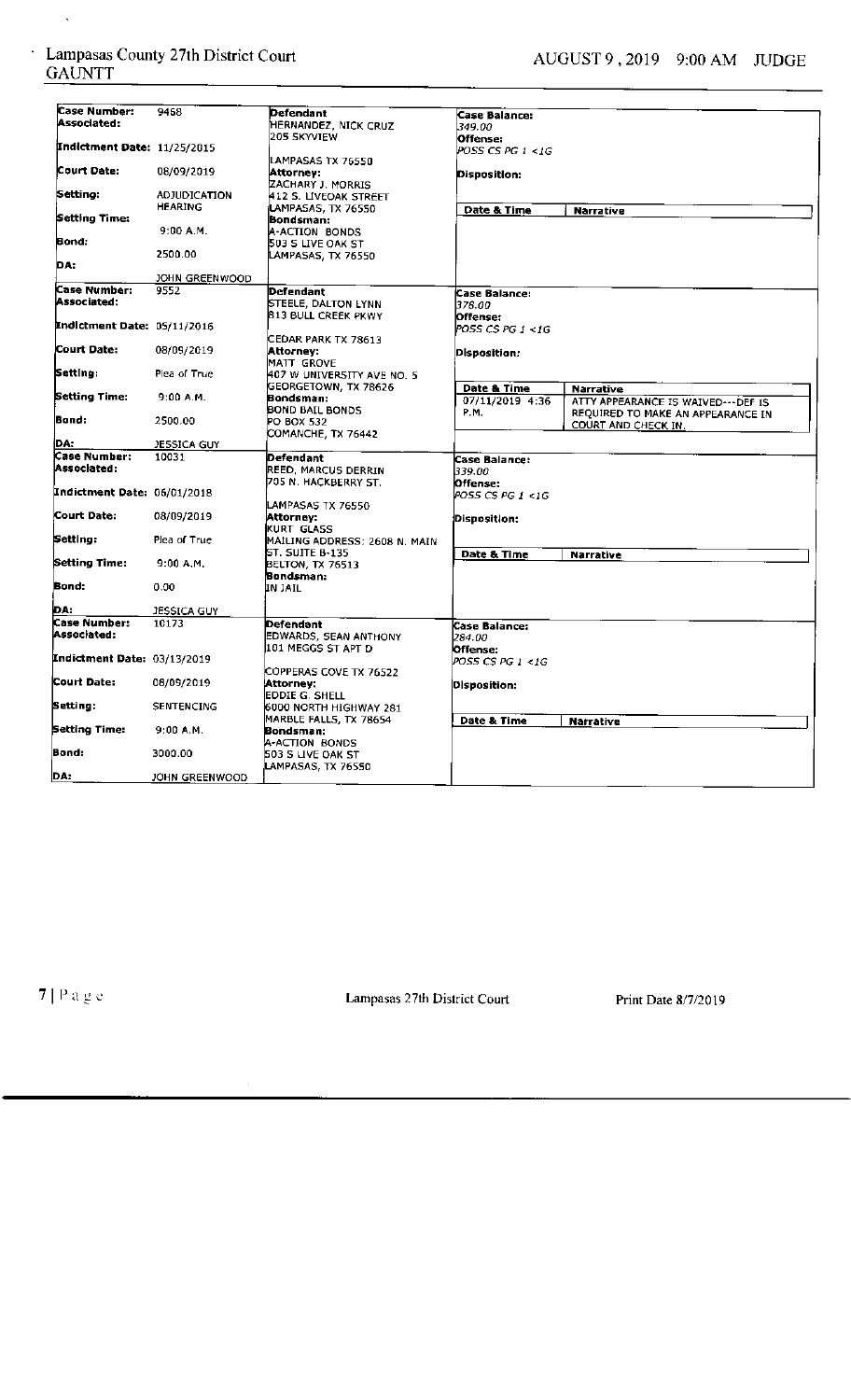$\hat{\mathbf{v}}$ 

| Case Number:                | 9468                |                               |                    |                                     |
|-----------------------------|---------------------|-------------------------------|--------------------|-------------------------------------|
| Associated:                 |                     | Defendant                     | Case Balance:      |                                     |
|                             |                     | HERNANDEZ, NICK CRUZ          | 349.00             |                                     |
| Indictment Date: 11/25/2015 |                     | 205 SKYVIEW                   | Offense:           |                                     |
|                             |                     |                               | POSS CS PG 1 <1G   |                                     |
| Court Date:                 | 08/09/2019          | LAMPASAS TX 76550             |                    |                                     |
|                             |                     | Attornev:                     | Disposition:       |                                     |
| Setting:                    | <b>ADJUDICATION</b> | ZACHARY J. MORRIS             |                    |                                     |
|                             | HEARING             | 412 S. LIVEOAK STREET         |                    |                                     |
| Setting Time:               |                     | LAMPASAS, TX 76550            | Date & Time        | <b>Narrative</b>                    |
|                             | 9:00 A.M.           | Bondsman:<br>A-ACTION BONDS   |                    |                                     |
| Bond:                       |                     | 503 S LIVE OAK ST             |                    |                                     |
|                             | 2500.00             |                               |                    |                                     |
| DA:                         |                     | LAMPASAS, TX 76550            |                    |                                     |
|                             | JOHN GREENWOOD      |                               |                    |                                     |
| Case Number:                | 9552                |                               |                    |                                     |
| Associated:                 |                     | Defendant                     | Case Balance:      |                                     |
|                             |                     | STEELE, DALTON LYNN           | 378.00             |                                     |
| Indictment Date: 05/11/2016 |                     | 813 BULL CREEK PKWY           | Offense:           |                                     |
|                             |                     |                               | POSS CS PG 1 <1G   |                                     |
| Court Date:                 | 08/09/2019          | CEDAR PARK TX 78613           |                    |                                     |
|                             |                     | Attorney:                     | Disposition:       |                                     |
| Setting:                    | Plea of True        | MATT GROVE                    |                    |                                     |
|                             |                     | 407 W UNIVERSITY AVE NO. 5    |                    |                                     |
| Setting Time:               | 9:00 A.M.           | GEORGETOWN, TX 78626          | Date & Time        | <b>Narrative</b>                    |
|                             |                     | Bondsman:<br>BOND BAIL BONDS  | 07/11/2019 4:36    | ATTY APPEARANCE IS WAIVED--- DEF IS |
| Bond:                       | 2500.00             | <b>PO BOX 532</b>             | P.M.               | REQUIRED TO MAKE AN APPEARANCE IN   |
|                             |                     |                               |                    | COURT AND CHECK IN.                 |
| iDA:                        | JESSICA GUY         | COMANCHE, TX 76442            |                    |                                     |
| Case Number:                | 10031               | Defendant                     |                    |                                     |
| Associated:                 |                     | REED, MARCUS DERRIN           | Case Balance:      |                                     |
|                             |                     | 705 N. HACKBERRY ST.          | 339.00<br>Offense: |                                     |
| Indictment Date: 06/01/2018 |                     |                               | POSS CS PG 1 <1G   |                                     |
|                             |                     | LAMPASAS TX 76550             |                    |                                     |
| Court Date:                 | 08/09/2019          | Attorney:                     |                    |                                     |
|                             |                     | KURT GLASS                    | Disposition:       |                                     |
| Setting:                    | Plea of True        | MAILING ADDRESS: 2608 N. MAIN |                    |                                     |
|                             |                     | ST. SUITE B-135               | Date & Time        | Narrative                           |
| Setting Time:               | 9:00 A.M.           | BELTON, TX 76513              |                    |                                     |
|                             |                     | Bondsman:                     |                    |                                     |
| Bond:                       | 0.00                | IN JAIL                       |                    |                                     |
|                             |                     |                               |                    |                                     |
| DA:<br>Case Number:         | JESSICA GUY         |                               |                    |                                     |
|                             | 10173               | Defendant                     | Case Balance:      |                                     |
| Associated:                 |                     | EDWARDS, SEAN ANTHONY         | 284.00             |                                     |
|                             |                     | 101 MEGGS ST APT D            | Offense:           |                                     |
| Indictment Date: 03/13/2019 |                     |                               | POSS CS PG 1 <1G   |                                     |
|                             |                     | COPPERAS COVE TX 76522        |                    |                                     |
| <b>Court Date:</b>          | 08/09/2019          | Attorney:                     | Disposition:       |                                     |
|                             |                     | EDDIE G. SHELL                |                    |                                     |
| Setting:                    | <b>SENTENCING</b>   | 6000 NORTH HIGHWAY 281        |                    |                                     |
|                             |                     | MARBLE FALLS, TX 78654        | Date & Time        | <b>Narrative</b>                    |
| Setting Time:               | $9:00$ A.M.         | Bondsman:                     |                    |                                     |
|                             |                     | A-ACTION BONDS                |                    |                                     |
| Bond:                       | 3000.00             | 503 S LIVE OAK ST             |                    |                                     |
|                             |                     | LAMPASAS, TX 76550            |                    |                                     |
| DA:                         | JOHN GREENWOOD      |                               |                    |                                     |

7 | P a g e Court Lampasas 27th District Court Print Date 8/7/2019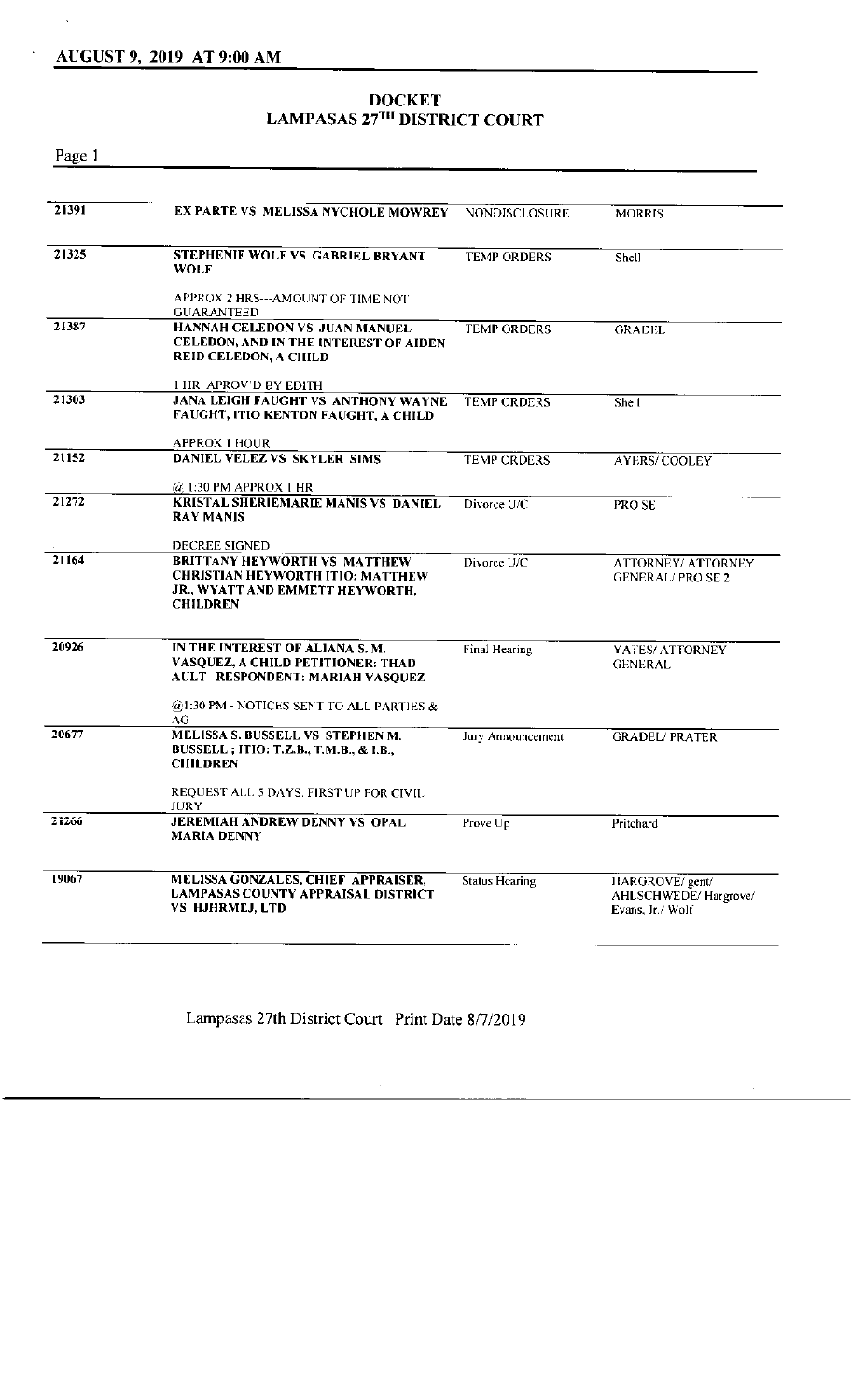#### AUGUST 9, 2019 AT 9:00 AM

#### **DOCKET**  LAMPASAS 27<sup>TH</sup> DISTRICT COURT

Page I

| 21391 | EX PARTE VS MELISSA NYCHOLE MOWREY                                                                                                                 | <b>NONDISCLOSURE</b>  | <b>MORRIS</b>                                               |
|-------|----------------------------------------------------------------------------------------------------------------------------------------------------|-----------------------|-------------------------------------------------------------|
| 21325 | STEPHENIE WOLF VS GABRIEL BRYANT<br>WOLF                                                                                                           | <b>TEMP ORDERS</b>    | Shell                                                       |
|       | APPROX 2 HRS---AMOUNT OF TIME NOT<br><b>GUARANTEED</b>                                                                                             |                       |                                                             |
| 21387 | HANNAH CELEDON VS JUAN MANUEL<br>CELEDON, AND IN THE INTEREST OF AIDEN<br>REID CELEDON, A CHILD                                                    | <b>TEMP ORDERS</b>    | <b>GRADEL</b>                                               |
|       | 1 HR. APROV'D BY EDITH                                                                                                                             |                       |                                                             |
| 21303 | <b>JANA LEIGH FAUGHT VS ANTHONY WAYNE</b><br>FAUGHT, ITIO KENTON FAUGHT, A CHILD                                                                   | <b>TEMP ORDERS</b>    | Shell                                                       |
|       | <b>APPROX 1 HOUR</b>                                                                                                                               |                       |                                                             |
| 21152 | DANIEL VELEZ VS SKYLER SIMS                                                                                                                        | <b>TEMP ORDERS</b>    | <b>AYERS/COOLEY</b>                                         |
|       | @ 1:30 PM APPROX 1 HR                                                                                                                              |                       |                                                             |
| 21272 | <b>KRISTAL SHERIEMARIE MANIS VS DANIEL</b><br><b>RAY MANIS</b>                                                                                     | Divorce U/C           | PRO SE                                                      |
|       | DECREE SIGNED                                                                                                                                      |                       |                                                             |
| 21164 | <b>BRITTANY HEYWORTH VS MATTHEW</b><br><b>CHRISTIAN HEYWORTH ITIO: MATTHEW</b><br>JR., WYATT AND EMMETT HEYWORTH,<br><b>CHILDREN</b>               | Divorce U/C           | ATTORNEY/ ATTORNEY<br><b>GENERAL/PROSE 2</b>                |
|       |                                                                                                                                                    |                       |                                                             |
| 20926 | IN THE INTEREST OF ALIANA S.M.<br>VASQUEZ, A CHILD PETITIONER: THAD<br>AULT RESPONDENT: MARIAH VASQUEZ<br>@1:30 PM - NOTICES SENT TO ALL PARTIES & | Final Hearing         | YATES/ ATTORNEY<br><b>GENERAL</b>                           |
| 20677 | AG<br>MELISSA S. BUSSELL VS STEPHEN M.<br>BUSSELL; ITIO: T.Z.B., T.M.B., & I.B.,<br><b>CHILDREN</b>                                                | Jury Announcement     | <b>GRADEL/ PRATER</b>                                       |
|       | REQUEST ALL 5 DAYS. FIRST UP FOR CIVIL<br>JURY                                                                                                     |                       |                                                             |
| 21266 | JEREMIAH ANDREW DENNY VS OPAL<br><b>MARIA DENNY</b>                                                                                                | Prove Up              | Pritchard                                                   |
| 19067 | MELISSA GONZALES, CHIEF APPRAISER,<br>LAMPASAS COUNTY APPRAISAL DISTRICT<br><b>VS HJHRMEJ, LTD</b>                                                 | <b>Status Hearing</b> | HARGROVE/ gent/<br>AHLSCHWEDE/Hargrove/<br>Evans, Jr./ Wolf |
|       |                                                                                                                                                    |                       |                                                             |

Lampasas 27th District Court Print Date 8/7/2019

 $\mathcal{L}_{\mathcal{A}}$